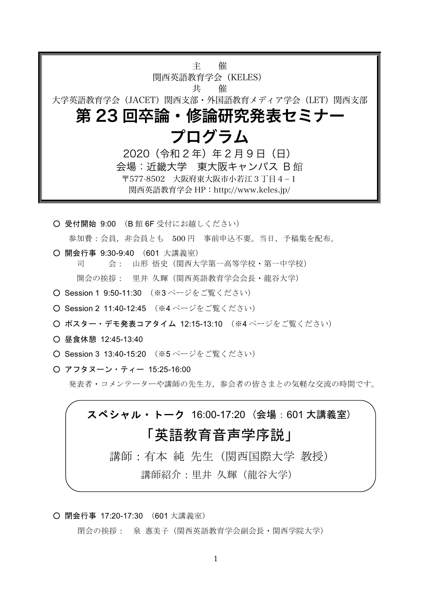主 催 関西英語教育学会(KELES) 共 催 大学英語教育学会(JACET)関西支部・外国語教育メディア学会(LET)関西支部 第 23 回卒論・修論研究発表セミナー プログラム 2020 (令和 2 年) 年 2 月 9 日 (日) 会場:近畿大学 東大阪キャンパス B館 〒577-8502 大阪府東大阪市小若江3丁目4-1 関西英語教育学会 HP:http://www.keles.jp/

○ 受付開始 9:00 (B館 6F 受付にお越しください) 参加費:会員, 非会員とも 500円 事前申込不要。当日, 予稿集を配布。

O 開会行事 9:30-9:40 (601 大講義室)

司 会: 山形 悟史 (関西大学第一高等学校·第一中学校) 開会の挨拶: 里井 久輝 (関西英語教育学会会長・龍谷大学)

- O Session 1 9:50-11:30 (※3ページをご覧ください)
- O Session 2 11:40-12:45 (※4 ページをご覧ください)
- ポスター・デモ発表コアタイム 12:15-13:10 (※4 ページをご覧ください)
- 昼食休憩 12:45-13:40
- O Session 3 13:40-15:20 (※5ページをご覧ください)
- O アフタヌーン・ティー 15:25-16:00

発表者・コメンテーターや講師の先生方、参会者の皆さまとの気軽な交流の時間です。

# スペシャル・トーク 16:00-17:20 (会場:601 大講義室) 「英語教育音声学序説」 講師:有本 純 先生(関西国際大学 教授)

講師紹介: 里井 久輝 (龍谷大学)

O 閉会行事 17:20-17:30 (601 大講義室)

閉会の挨拶: 泉 惠美子 (関西英語教育学会副会長・関西学院大学)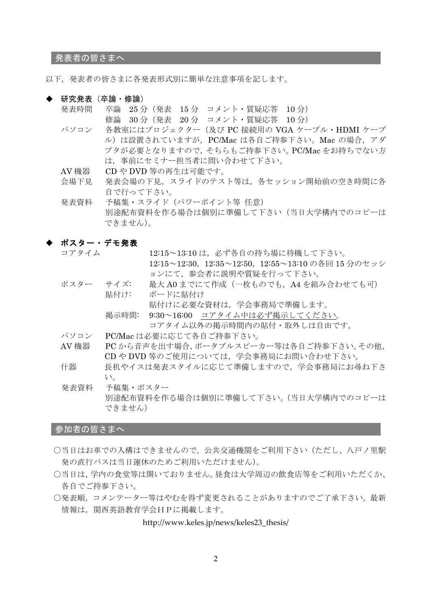発表者の皆さまへ

以下、発表者の皆さまに各発表形式別に簡単な注意事項を記します。

- ・ 研究発表(卒論・修論)
	- 卒論 25分 (発表 15分 コメント・質疑応答 10分) 発表時間 修論 30分 (発表 20分 コメント・質疑応答 10分)
	- パソコン 各教室にはプロジェクター (及び PC 接続用の VGA ケーブル・HDMI ケーブ ル)は設置されていますが、PC/Mac は各自ご持参下さい。Mac の場合、アダ プタが必要となりますので、そちらもご持参下さい。PC/Macをお持ちでない方 は、事前にセミナー担当者に問い合わせて下さい。
	- AV 機器 CDやDVD等の再生は可能です。
	- 会場下見 発表会場の下見、スライドのテスト等は、各セッション開始前の空き時間に各 自で行って下さい。

予稿集・スライド (パワーポイント等 任意) 発表資料 別途配布資料を作る場合は個別に準備して下さい(当日大学構内でのコピーは できません)。

- ポスター・デモ発表
	- コアタイム 12:15~13:10は、必ず各自の持ち場に待機して下さい。 12:15~12:30, 12:35~12:50, 12:55~13:10の各回 15 分のセッシ ョンにて、参会者に説明や質疑を行って下さい。
	- ポスター サイズ: 最大A0までにて作成(一枚ものでも、A4を組み合わせても可) 貼付け: ボードに貼付け

貼付けに必要な資材は、学会事務局で準備します。

9:30~16:00 コアタイム中は必ず掲示してください。 掲示時間: コアタイム以外の掲示時間内の貼付・取外しは自由です。

- パソコン PC/Mac は必要に応じて各自ご持参下さい。
- AV 機器 PCから音声を出す場合,ポータブルスピーカー等は各自ご持参下さい。その他, CD や DVD 等のご使用については、学会事務局にお問い合わせ下さい。
- 長机やイスは発表スタイルに応じて準備しますので、学会事務局にお尋ね下さ 什器  $V_{\alpha}$
- 予稿集・ポスター 発表資料 別途配布資料を作る場合は個別に準備して下さい。(当日大学構内でのコピーは できません)

#### 参加者の皆さまへ

- ○当日はお車での入構はできませんので、公共交通機関をご利用下さい(ただし、八戸ノ里駅 発の直行バスは当日運休のためご利用いただけません)。
- ○当日は、学内の食堂等は開いておりません。昼食は大学周辺の飲食店等をご利用いただくか、 各自でご持参下さい。
- ○発表順、コメンテーター等はやむを得ず変更されることがありますのでご了承下さい。最新 情報は、関西英語教育学会HPに掲載します。

http://www.keles.jp/news/keles23\_thesis/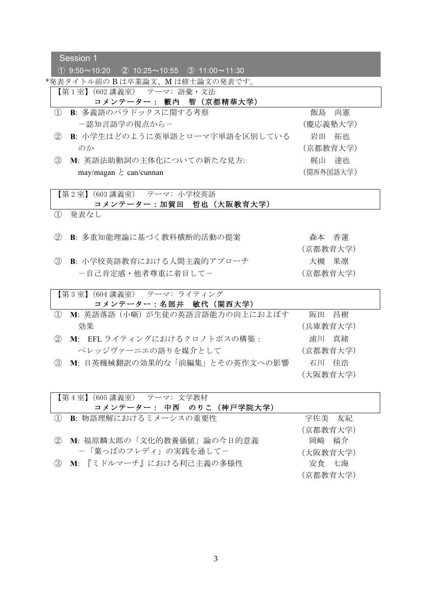Session 1

 $(1)$  9:50~10:20  $(2)$  10:25~10:55  $(3)$  11:00~11:30

\*発表タイトル前のBは卒業論文、Mは修士論文の発表です。

【第1室】(602講義室) テーマ:語彙・文法

## コメンテーター: 籔内 智 (京都精華大学)

- 1) B: 多義語のパラドックスに関する考察 ー認知言語学の視点からー
- 2 B: 小学生はどのように英単語とローマ字単語を区別している  $\mathcal{D}$  ን
- 3 M: 英語法助動詞の主体化についての新たな見方:  $max/max$ an  $\geq$  can/cunnan

飯島 尚憲 (慶応義塾大学) 岩田 拓也 (京都教育大学) 梶山 達也 (関西外国語大学)

【第2室】(603講義室) テーマ: 小学校英語 コメンテーター:加賀田 哲也 (大阪教育大学)

- 1 発表なし
- ② B: 多重知能理論に基づく教科横断的活動の提案<br>
<sub> **B**: 多重知能理論に基づく教科横断的活動の提案</sub>
- 3 B: 小学校英語教育における人間主義的アプローチ ー自己肯定感・他者尊重に着目してー

(京都教育大学) 大槻 果凛 (京都教育大学)

【第3室】(604講義室) テーマ: ライティング コメンテーター:名部井 敏代 (関西大学) <sup>(1)</sup> M: 英語落語 (小噺) が生徒の英語言語能力の向上におよぼす 効果 阪田 昌樹 (兵庫教育大学) 2 M: EFL ライティングにおけるクロノトポスの構築: ペレッジヴァーニエの語りを媒介として 浦川 真緒 (京都教育大学)

3 M: 日英機械翻訳の効果的な「前編集」とその英作文への影響 石川 佳浩

| 【第4室】(605 講義室) テーマ: 文学教材    |          |
|-----------------------------|----------|
| コメンテーター: 中西 のりこ (神戸学院大学)    |          |
| ① B: 物語理解におけるミメーシスの重要性      | 宇佐美 友紀   |
|                             | (京都教育大学) |
| ② M: 福原麟太郎の「文化的教養価値」論の今日的意義 | 岡崎 稿介    |
| - 「葉っぱのフレディ」の実践を通してー        | (大阪教育大学) |
| 3 M: 『ミドルマーチ』における利己主義の多様性   | 安食 七海    |

(京都教育大学)

(大阪教育大学)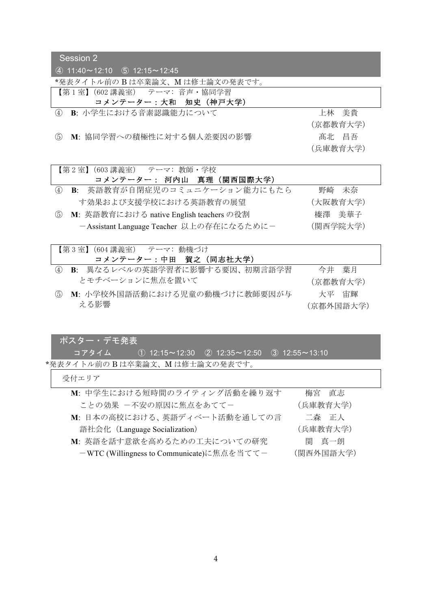Session 2

 $(4)$  11:40~12:10  $(5)$  12:15~12:45

\*発表タイトル前のBは卒業論文、Mは修士論文の発表です。

- 【第1室】(602講義室) テーマ:音声・協同学習 コメンテーター:大和 知史 (神戸大学)
- 4 B: 小学生における音素認識能力について インチング エイン 上林 美貴
- 6 M: 協同学習への積極性に対する個人差要因の影響 インチング 高北 昌吾

(京都教育大学) (兵庫教育大学)

【第2室】(603講義室) テーマ: 教師・学校 コメンテーター: 河内山 真理 (関西国際大学) 4 B: 英語教育が自閉症児のコミュニケーション能力にもたら す効果および支援学校における英語教育の展望 野崎 未奈 (大阪教育大学) 5 M: 英語教育における native English teachers の役割 - Assistant Language Teacher 以上の存在になるために-榛澤 美華子 (関西学院大学)

| 【第3室】(604 講義室) テーマ: 動機づけ |                                  |           |  |  |
|--------------------------|----------------------------------|-----------|--|--|
|                          | コメンテーター:中田 賀之 (同志社大学)            |           |  |  |
|                          | 4) B: 異なるレベルの英語学習者に影響する要因、初期言語学習 | 今井 葉月     |  |  |
|                          | とモチベーションに焦点を置いて                  | (京都教育大学)  |  |  |
| (5)                      | - M: 小学校外国語活動における児童の動機づけに教師要因が与  | 大平 宙輝     |  |  |
|                          | える影響                             | (京都外国語大学) |  |  |

### ポスター・デモ発表

|コアタイム ① 12:15~12:30 ② 12:35~12:50 ③ 12:55~13:10 \*発表タイトル前のBは卒業論文、Mは修士論文の発表です。

受付エリア

| M: 中学生における短時間のライティング活動を繰り返す                | 梅宮 直志     |
|--------------------------------------------|-----------|
| ことの効果 一不安の原因に焦点をあててー                       | (兵庫教育大学)  |
| M: 日本の高校における、英語ディベート活動を通しての言               | 二森 正人     |
| 語社会化 (Language Socialization)              | (兵庫教育大学)  |
| M: 英語を話す意欲を高めるための工夫についての研究                 | 関 真一朗     |
| - WTC (Willingness to Communicate)に焦点を当ててー | (関西外国語大学) |
|                                            |           |